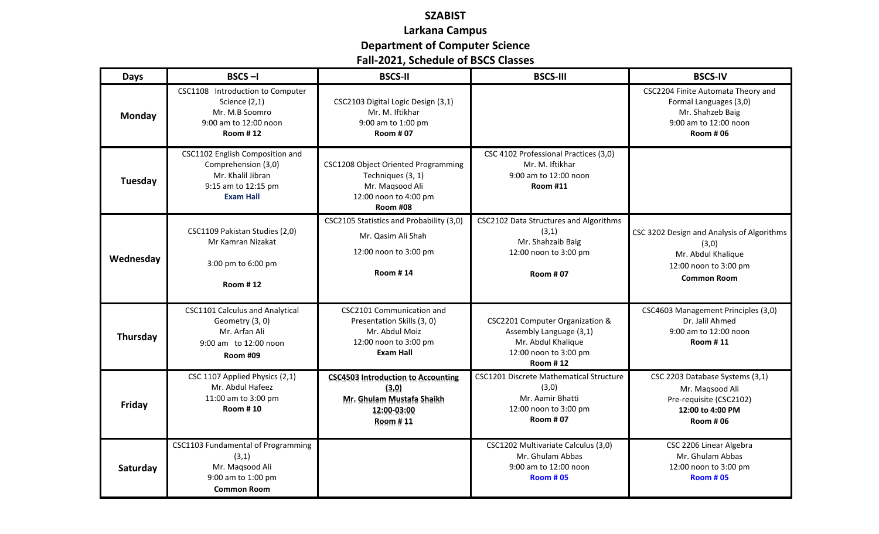## **SZABIST Larkana Campus Department of Computer Science Fall-2021, Schedule of BSCS Classes**

| Days      | $BSCS - I$                                                                                                             | <b>BSCS-II</b>                                                                                                          | <b>BSCS-III</b>                                                                                                              | <b>BSCS-IV</b>                                                                                                               |
|-----------|------------------------------------------------------------------------------------------------------------------------|-------------------------------------------------------------------------------------------------------------------------|------------------------------------------------------------------------------------------------------------------------------|------------------------------------------------------------------------------------------------------------------------------|
| Monday    | CSC1108 Introduction to Computer<br>Science $(2,1)$<br>Mr. M.B Soomro<br>9:00 am to 12:00 noon<br><b>Room #12</b>      | CSC2103 Digital Logic Design (3,1)<br>Mr. M. Iftikhar<br>9:00 am to 1:00 pm<br><b>Room #07</b>                          |                                                                                                                              | CSC2204 Finite Automata Theory and<br>Formal Languages (3,0)<br>Mr. Shahzeb Baig<br>9:00 am to 12:00 noon<br><b>Room #06</b> |
| Tuesday   | CSC1102 English Composition and<br>Comprehension (3,0)<br>Mr. Khalil Jibran<br>9:15 am to 12:15 pm<br><b>Exam Hall</b> | CSC1208 Object Oriented Programming<br>Techniques (3, 1)<br>Mr. Maqsood Ali<br>12:00 noon to 4:00 pm<br><b>Room #08</b> | CSC 4102 Professional Practices (3,0)<br>Mr. M. Iftikhar<br>9:00 am to 12:00 noon<br><b>Room #11</b>                         |                                                                                                                              |
| Wednesday | CSC1109 Pakistan Studies (2,0)<br>Mr Kamran Nizakat<br>3:00 pm to 6:00 pm<br><b>Room #12</b>                           | CSC2105 Statistics and Probability (3,0)<br>Mr. Qasim Ali Shah<br>12:00 noon to 3:00 pm<br><b>Room #14</b>              | CSC2102 Data Structures and Algorithms<br>(3,1)<br>Mr. Shahzaib Baig<br>12:00 noon to 3:00 pm<br><b>Room #07</b>             | CSC 3202 Design and Analysis of Algorithms<br>(3,0)<br>Mr. Abdul Khalique<br>12:00 noon to 3:00 pm<br><b>Common Room</b>     |
| Thursday  | <b>CSC1101 Calculus and Analytical</b><br>Geometry (3, 0)<br>Mr. Arfan Ali<br>9:00 am to 12:00 noon<br><b>Room #09</b> | CSC2101 Communication and<br>Presentation Skills (3, 0)<br>Mr. Abdul Moiz<br>12:00 noon to 3:00 pm<br><b>Exam Hall</b>  | CSC2201 Computer Organization &<br>Assembly Language (3,1)<br>Mr. Abdul Khalique<br>12:00 noon to 3:00 pm<br><b>Room #12</b> | CSC4603 Management Principles (3,0)<br>Dr. Jalil Ahmed<br>9:00 am to 12:00 noon<br><b>Room #11</b>                           |
| Friday    | CSC 1107 Applied Physics (2,1)<br>Mr. Abdul Hafeez<br>11:00 am to 3:00 pm<br><b>Room #10</b>                           | <b>CSC4503 Introduction to Accounting</b><br>(3, 0)<br>Mr. Ghulam Mustafa Shaikh<br>12:00-03:00<br>Room #11             | <b>CSC1201 Discrete Mathematical Structure</b><br>(3,0)<br>Mr. Aamir Bhatti<br>12:00 noon to 3:00 pm<br><b>Room #07</b>      | CSC 2203 Database Systems (3,1)<br>Mr. Maqsood Ali<br>Pre-requisite (CSC2102)<br>12:00 to 4:00 PM<br><b>Room #06</b>         |
| Saturday  | CSC1103 Fundamental of Programming<br>(3,1)<br>Mr. Maqsood Ali<br>9:00 am to 1:00 pm<br><b>Common Room</b>             |                                                                                                                         | CSC1202 Multivariate Calculus (3,0)<br>Mr. Ghulam Abbas<br>9:00 am to 12:00 noon<br><b>Room #05</b>                          | CSC 2206 Linear Algebra<br>Mr. Ghulam Abbas<br>12:00 noon to 3:00 pm<br><b>Room #05</b>                                      |